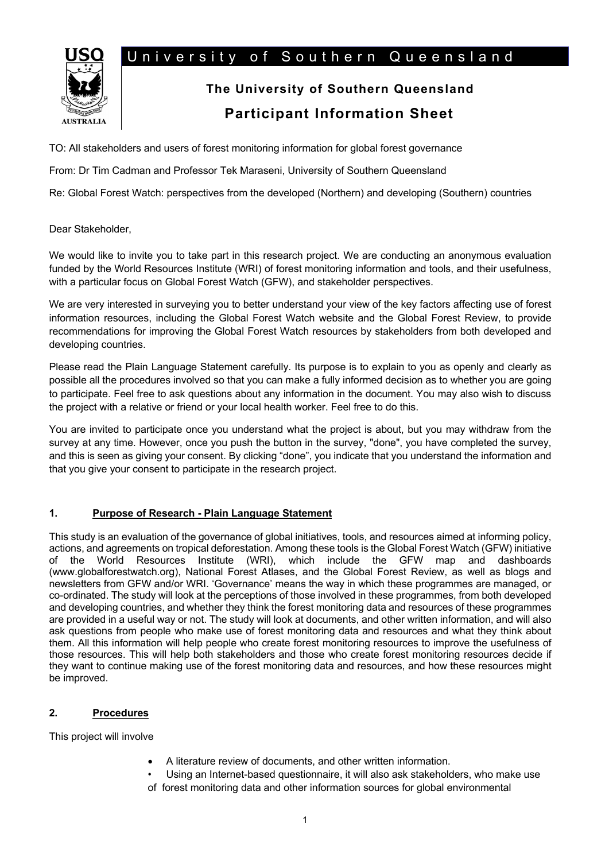# University of Southern Queensland



# **The University of Southern Queensland Participant Information Sheet**

TO: All stakeholders and users of forest monitoring information for global forest governance

From: Dr Tim Cadman and Professor Tek Maraseni, University of Southern Queensland

Re: Global Forest Watch: perspectives from the developed (Northern) and developing (Southern) countries

Dear Stakeholder,

We would like to invite you to take part in this research project. We are conducting an anonymous evaluation funded by the World Resources Institute (WRI) of forest monitoring information and tools, and their usefulness, with a particular focus on Global Forest Watch (GFW), and stakeholder perspectives.

We are very interested in surveying you to better understand your view of the key factors affecting use of forest information resources, including the Global Forest Watch website and the Global Forest Review, to provide recommendations for improving the Global Forest Watch resources by stakeholders from both developed and developing countries.

Please read the Plain Language Statement carefully. Its purpose is to explain to you as openly and clearly as possible all the procedures involved so that you can make a fully informed decision as to whether you are going to participate. Feel free to ask questions about any information in the document. You may also wish to discuss the project with a relative or friend or your local health worker. Feel free to do this.

You are invited to participate once you understand what the project is about, but you may withdraw from the survey at any time. However, once you push the button in the survey, "done", you have completed the survey, and this is seen as giving your consent. By clicking "done", you indicate that you understand the information and that you give your consent to participate in the research project.

## **1. Purpose of Research - Plain Language Statement**

This study is an evaluation of the governance of global initiatives, tools, and resources aimed at informing policy, actions, and agreements on tropical deforestation. Among these tools is the Global Forest Watch (GFW) initiative of the World Resources Institute (WRI), which include the GFW map and dashboards (www.globalforestwatch.org), National Forest Atlases, and the Global Forest Review, as well as blogs and newsletters from GFW and/or WRI. 'Governance' means the way in which these programmes are managed, or co-ordinated. The study will look at the perceptions of those involved in these programmes, from both developed and developing countries, and whether they think the forest monitoring data and resources of these programmes are provided in a useful way or not. The study will look at documents, and other written information, and will also ask questions from people who make use of forest monitoring data and resources and what they think about them. All this information will help people who create forest monitoring resources to improve the usefulness of those resources. This will help both stakeholders and those who create forest monitoring resources decide if they want to continue making use of the forest monitoring data and resources, and how these resources might be improved.

## **2. Procedures**

This project will involve

- A literature review of documents, and other written information.
- Using an Internet-based questionnaire, it will also ask stakeholders, who make use
- of forest monitoring data and other information sources for global environmental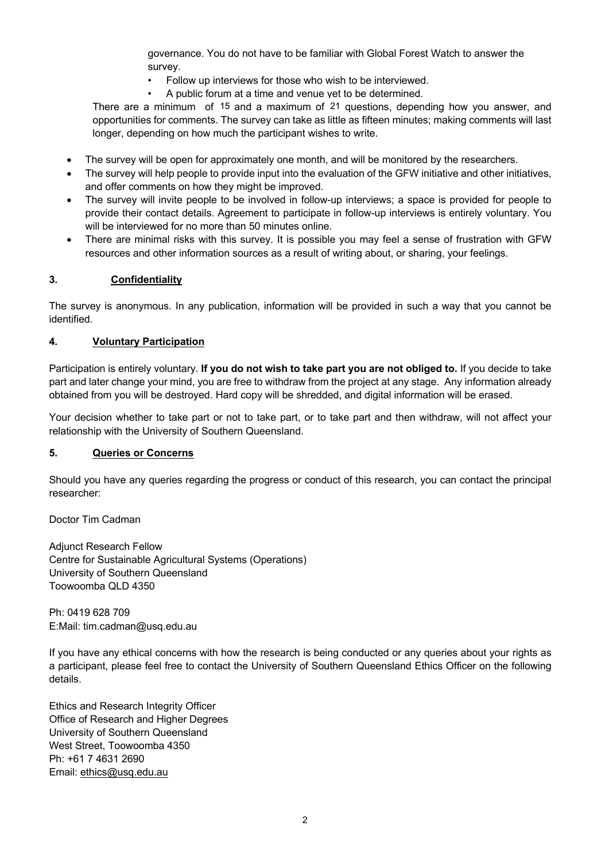governance. You do not have to be familiar with Global Forest Watch to answer the survey.

- Follow up interviews for those who wish to be interviewed.
- A public forum at a time and venue yet to be determined.

There are a minimum of 15 and a maximum of 21 questions, depending how you answer, and opportunities for comments. The survey can take as little as fifteen minutes; making comments will last longer, depending on how much the participant wishes to write.

- The survey will be open for approximately one month, and will be monitored by the researchers.
- The survey will help people to provide input into the evaluation of the GFW initiative and other initiatives, and offer comments on how they might be improved.
- The survey will invite people to be involved in follow-up interviews; a space is provided for people to provide their contact details. Agreement to participate in follow-up interviews is entirely voluntary. You will be interviewed for no more than 50 minutes online.
- There are minimal risks with this survey. It is possible you may feel a sense of frustration with GFW resources and other information sources as a result of writing about, or sharing, your feelings.

#### **3. Confidentiality**

The survey is anonymous. In any publication, information will be provided in such a way that you cannot be identified.

#### **4. Voluntary Participation**

Participation is entirely voluntary. **If you do not wish to take part you are not obliged to.** If you decide to take part and later change your mind, you are free to withdraw from the project at any stage. Any information already obtained from you will be destroyed. Hard copy will be shredded, and digital information will be erased.

Your decision whether to take part or not to take part, or to take part and then withdraw, will not affect your relationship with the University of Southern Queensland.

#### **5. Queries or Concerns**

Should you have any queries regarding the progress or conduct of this research, you can contact the principal researcher:

Doctor Tim Cadman

Adjunct Research Fellow Centre for Sustainable Agricultural Systems (Operations) University of Southern Queensland Toowoomba QLD 4350

Ph: 0419 628 709 E:Mail: tim.cadman@usq.edu.au

If you have any ethical concerns with how the research is being conducted or any queries about your rights as a participant, please feel free to contact the University of Southern Queensland Ethics Officer on the following details.

Ethics and Research Integrity Officer Office of Research and Higher Degrees University of Southern Queensland West Street, Toowoomba 4350 Ph: +61 7 4631 2690 Email: ethics@usq.edu.au